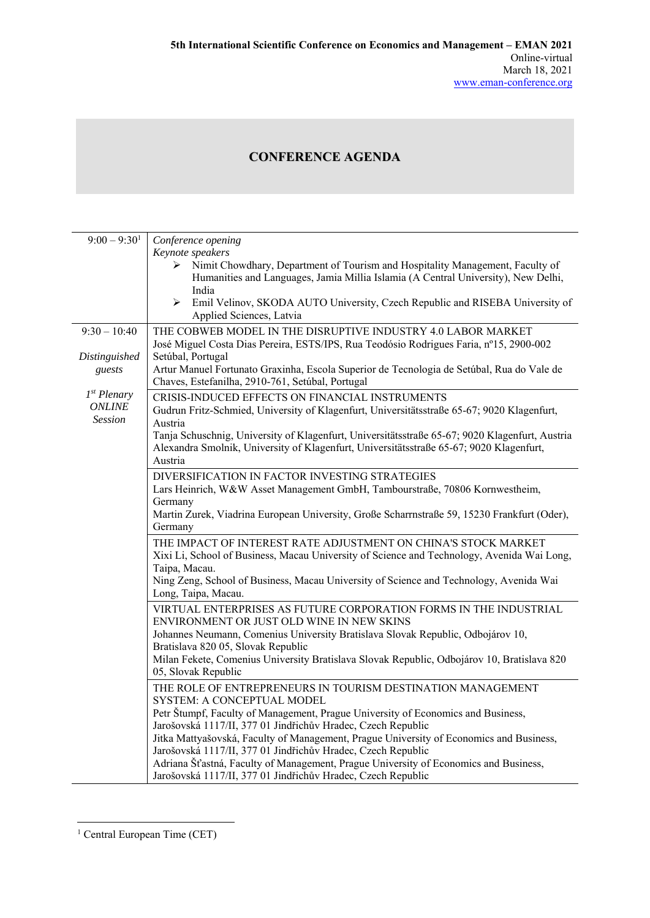## **CONFERENCE AGENDA**

| $9:00 - 9:301$                                             | Conference opening                                                                                                                                                                                                                       |
|------------------------------------------------------------|------------------------------------------------------------------------------------------------------------------------------------------------------------------------------------------------------------------------------------------|
|                                                            | Keynote speakers<br>Nimit Chowdhary, Department of Tourism and Hospitality Management, Faculty of<br>≻<br>Humanities and Languages, Jamia Millia Islamia (A Central University), New Delhi,<br>India                                     |
|                                                            | ≻<br>Emil Velinov, SKODA AUTO University, Czech Republic and RISEBA University of<br>Applied Sciences, Latvia                                                                                                                            |
| $9:30 - 10:40$                                             | THE COBWEB MODEL IN THE DISRUPTIVE INDUSTRY 4.0 LABOR MARKET<br>José Miguel Costa Dias Pereira, ESTS/IPS, Rua Teodósio Rodrigues Faria, nº15, 2900-002                                                                                   |
| Distinguished<br>guests                                    | Setúbal, Portugal<br>Artur Manuel Fortunato Graxinha, Escola Superior de Tecnologia de Setúbal, Rua do Vale de<br>Chaves, Estefanilha, 2910-761, Setúbal, Portugal                                                                       |
| 1 <sup>st</sup> Plenary<br><b>ONLINE</b><br><b>Session</b> | CRISIS-INDUCED EFFECTS ON FINANCIAL INSTRUMENTS<br>Gudrun Fritz-Schmied, University of Klagenfurt, Universitätsstraße 65-67; 9020 Klagenfurt,<br>Austria                                                                                 |
|                                                            | Tanja Schuschnig, University of Klagenfurt, Universitätsstraße 65-67; 9020 Klagenfurt, Austria<br>Alexandra Smolnik, University of Klagenfurt, Universitätsstraße 65-67; 9020 Klagenfurt,<br>Austria                                     |
|                                                            | DIVERSIFICATION IN FACTOR INVESTING STRATEGIES<br>Lars Heinrich, W&W Asset Management GmbH, Tambourstraße, 70806 Kornwestheim,<br>Germany<br>Martin Zurek, Viadrina European University, Große Scharrnstraße 59, 15230 Frankfurt (Oder), |
|                                                            | Germany                                                                                                                                                                                                                                  |
|                                                            | THE IMPACT OF INTEREST RATE ADJUSTMENT ON CHINA'S STOCK MARKET<br>Xixi Li, School of Business, Macau University of Science and Technology, Avenida Wai Long,<br>Taipa, Macau.                                                            |
|                                                            | Ning Zeng, School of Business, Macau University of Science and Technology, Avenida Wai<br>Long, Taipa, Macau.                                                                                                                            |
|                                                            | VIRTUAL ENTERPRISES AS FUTURE CORPORATION FORMS IN THE INDUSTRIAL<br>ENVIRONMENT OR JUST OLD WINE IN NEW SKINS                                                                                                                           |
|                                                            | Johannes Neumann, Comenius University Bratislava Slovak Republic, Odbojárov 10,<br>Bratislava 820 05, Slovak Republic<br>Milan Fekete, Comenius University Bratislava Slovak Republic, Odbojárov 10, Bratislava 820                      |
|                                                            | 05, Slovak Republic<br>THE ROLE OF ENTREPRENEURS IN TOURISM DESTINATION MANAGEMENT                                                                                                                                                       |
|                                                            | SYSTEM: A CONCEPTUAL MODEL<br>Petr Štumpf, Faculty of Management, Prague University of Economics and Business,<br>Jarošovská 1117/II, 377 01 Jindřichův Hradec, Czech Republic                                                           |
|                                                            | Jitka Mattyašovská, Faculty of Management, Prague University of Economics and Business,<br>Jarošovská 1117/II, 377 01 Jindřichův Hradec, Czech Republic                                                                                  |
|                                                            | Adriana Šťastná, Faculty of Management, Prague University of Economics and Business,<br>Jarošovská 1117/II, 377 01 Jindřichův Hradec, Czech Republic                                                                                     |

 1 Central European Time (CET)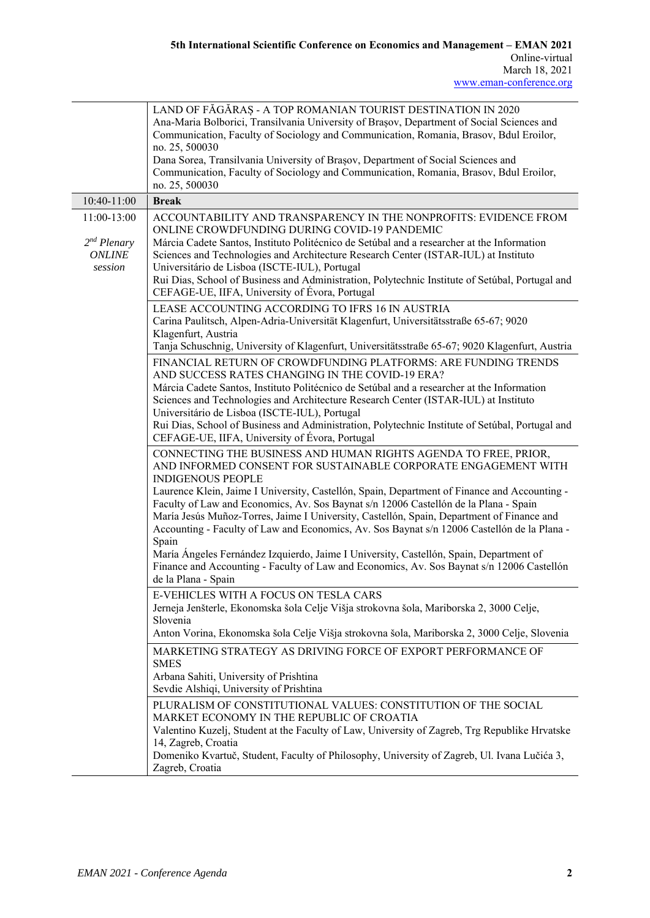|                                                          | LAND OF FĂGĂRAȘ - A TOP ROMANIAN TOURIST DESTINATION IN 2020<br>Ana-Maria Bolborici, Transilvania University of Brașov, Department of Social Sciences and<br>Communication, Faculty of Sociology and Communication, Romania, Brasov, Bdul Eroilor,<br>no. 25, 500030<br>Dana Sorea, Transilvania University of Brașov, Department of Social Sciences and<br>Communication, Faculty of Sociology and Communication, Romania, Brasov, Bdul Eroilor,<br>no. 25, 500030                                         |
|----------------------------------------------------------|-------------------------------------------------------------------------------------------------------------------------------------------------------------------------------------------------------------------------------------------------------------------------------------------------------------------------------------------------------------------------------------------------------------------------------------------------------------------------------------------------------------|
| 10:40-11:00                                              | <b>Break</b>                                                                                                                                                                                                                                                                                                                                                                                                                                                                                                |
| 11:00-13:00<br>$2nd$ Plenary<br><b>ONLINE</b><br>session | ACCOUNTABILITY AND TRANSPARENCY IN THE NONPROFITS: EVIDENCE FROM<br>ONLINE CROWDFUNDING DURING COVID-19 PANDEMIC<br>Márcia Cadete Santos, Instituto Politécnico de Setúbal and a researcher at the Information<br>Sciences and Technologies and Architecture Research Center (ISTAR-IUL) at Instituto<br>Universitário de Lisboa (ISCTE-IUL), Portugal<br>Rui Dias, School of Business and Administration, Polytechnic Institute of Setúbal, Portugal and<br>CEFAGE-UE, IIFA, University of Évora, Portugal |
|                                                          | LEASE ACCOUNTING ACCORDING TO IFRS 16 IN AUSTRIA<br>Carina Paulitsch, Alpen-Adria-Universität Klagenfurt, Universitätsstraße 65-67; 9020<br>Klagenfurt, Austria<br>Tanja Schuschnig, University of Klagenfurt, Universitätsstraße 65-67; 9020 Klagenfurt, Austria                                                                                                                                                                                                                                           |
|                                                          | FINANCIAL RETURN OF CROWDFUNDING PLATFORMS: ARE FUNDING TRENDS                                                                                                                                                                                                                                                                                                                                                                                                                                              |
|                                                          | AND SUCCESS RATES CHANGING IN THE COVID-19 ERA?<br>Márcia Cadete Santos, Instituto Politécnico de Setúbal and a researcher at the Information<br>Sciences and Technologies and Architecture Research Center (ISTAR-IUL) at Instituto<br>Universitário de Lisboa (ISCTE-IUL), Portugal<br>Rui Dias, School of Business and Administration, Polytechnic Institute of Setúbal, Portugal and<br>CEFAGE-UE, IIFA, University of Évora, Portugal                                                                  |
|                                                          | CONNECTING THE BUSINESS AND HUMAN RIGHTS AGENDA TO FREE, PRIOR,<br>AND INFORMED CONSENT FOR SUSTAINABLE CORPORATE ENGAGEMENT WITH<br><b>INDIGENOUS PEOPLE</b>                                                                                                                                                                                                                                                                                                                                               |
|                                                          | Laurence Klein, Jaime I University, Castellón, Spain, Department of Finance and Accounting -<br>Faculty of Law and Economics, Av. Sos Baynat s/n 12006 Castellón de la Plana - Spain<br>María Jesús Muñoz-Torres, Jaime I University, Castellón, Spain, Department of Finance and<br>Accounting - Faculty of Law and Economics, Av. Sos Baynat s/n 12006 Castellón de la Plana -                                                                                                                            |
|                                                          | Spain<br>María Ángeles Fernández Izquierdo, Jaime I University, Castellón, Spain, Department of<br>Finance and Accounting - Faculty of Law and Economics, Av. Sos Baynat s/n 12006 Castellón<br>de la Plana - Spain                                                                                                                                                                                                                                                                                         |
|                                                          | E-VEHICLES WITH A FOCUS ON TESLA CARS                                                                                                                                                                                                                                                                                                                                                                                                                                                                       |
|                                                          | Jerneja Jenšterle, Ekonomska šola Celje Višja strokovna šola, Mariborska 2, 3000 Celje,<br>Slovenia                                                                                                                                                                                                                                                                                                                                                                                                         |
|                                                          | Anton Vorina, Ekonomska šola Celje Višja strokovna šola, Mariborska 2, 3000 Celje, Slovenia                                                                                                                                                                                                                                                                                                                                                                                                                 |
|                                                          | MARKETING STRATEGY AS DRIVING FORCE OF EXPORT PERFORMANCE OF<br><b>SMES</b>                                                                                                                                                                                                                                                                                                                                                                                                                                 |
|                                                          | Arbana Sahiti, University of Prishtina<br>Sevdie Alshiqi, University of Prishtina                                                                                                                                                                                                                                                                                                                                                                                                                           |
|                                                          | PLURALISM OF CONSTITUTIONAL VALUES: CONSTITUTION OF THE SOCIAL<br>MARKET ECONOMY IN THE REPUBLIC OF CROATIA                                                                                                                                                                                                                                                                                                                                                                                                 |
|                                                          | Valentino Kuzelj, Student at the Faculty of Law, University of Zagreb, Trg Republike Hrvatske<br>14, Zagreb, Croatia<br>Domeniko Kvartuč, Student, Faculty of Philosophy, University of Zagreb, Ul. Ivana Lučića 3,<br>Zagreb, Croatia                                                                                                                                                                                                                                                                      |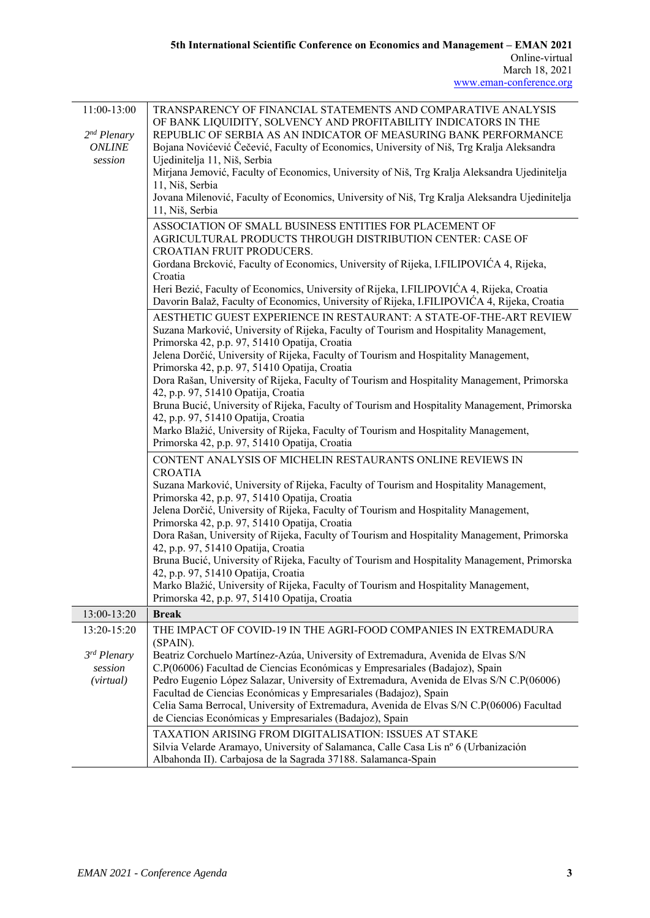| 11:00-13:00<br>$2nd$ Plenary<br><b>ONLINE</b><br>session | TRANSPARENCY OF FINANCIAL STATEMENTS AND COMPARATIVE ANALYSIS<br>OF BANK LIQUIDITY, SOLVENCY AND PROFITABILITY INDICATORS IN THE<br>REPUBLIC OF SERBIA AS AN INDICATOR OF MEASURING BANK PERFORMANCE<br>Bojana Novićević Čečević, Faculty of Economics, University of Niš, Trg Kralja Aleksandra<br>Ujedinitelja 11, Niš, Serbia<br>Mirjana Jemović, Faculty of Economics, University of Niš, Trg Kralja Aleksandra Ujedinitelja<br>11, Niš, Serbia<br>Jovana Milenović, Faculty of Economics, University of Niš, Trg Kralja Aleksandra Ujedinitelja<br>11, Niš, Serbia |
|----------------------------------------------------------|-------------------------------------------------------------------------------------------------------------------------------------------------------------------------------------------------------------------------------------------------------------------------------------------------------------------------------------------------------------------------------------------------------------------------------------------------------------------------------------------------------------------------------------------------------------------------|
|                                                          | ASSOCIATION OF SMALL BUSINESS ENTITIES FOR PLACEMENT OF                                                                                                                                                                                                                                                                                                                                                                                                                                                                                                                 |
|                                                          | AGRICULTURAL PRODUCTS THROUGH DISTRIBUTION CENTER: CASE OF                                                                                                                                                                                                                                                                                                                                                                                                                                                                                                              |
|                                                          | <b>CROATIAN FRUIT PRODUCERS.</b>                                                                                                                                                                                                                                                                                                                                                                                                                                                                                                                                        |
|                                                          | Gordana Brcković, Faculty of Economics, University of Rijeka, I.FILIPOVIĆA 4, Rijeka,                                                                                                                                                                                                                                                                                                                                                                                                                                                                                   |
|                                                          | Croatia                                                                                                                                                                                                                                                                                                                                                                                                                                                                                                                                                                 |
|                                                          | Heri Bezić, Faculty of Economics, University of Rijeka, I.FILIPOVIĆA 4, Rijeka, Croatia<br>Davorin Balaž, Faculty of Economics, University of Rijeka, I.FILIPOVIĆA 4, Rijeka, Croatia                                                                                                                                                                                                                                                                                                                                                                                   |
|                                                          | AESTHETIC GUEST EXPERIENCE IN RESTAURANT: A STATE-OF-THE-ART REVIEW                                                                                                                                                                                                                                                                                                                                                                                                                                                                                                     |
|                                                          | Suzana Marković, University of Rijeka, Faculty of Tourism and Hospitality Management,                                                                                                                                                                                                                                                                                                                                                                                                                                                                                   |
|                                                          | Primorska 42, p.p. 97, 51410 Opatija, Croatia                                                                                                                                                                                                                                                                                                                                                                                                                                                                                                                           |
|                                                          | Jelena Dorčić, University of Rijeka, Faculty of Tourism and Hospitality Management,                                                                                                                                                                                                                                                                                                                                                                                                                                                                                     |
|                                                          | Primorska 42, p.p. 97, 51410 Opatija, Croatia                                                                                                                                                                                                                                                                                                                                                                                                                                                                                                                           |
|                                                          | Dora Rašan, University of Rijeka, Faculty of Tourism and Hospitality Management, Primorska                                                                                                                                                                                                                                                                                                                                                                                                                                                                              |
|                                                          | 42, p.p. 97, 51410 Opatija, Croatia                                                                                                                                                                                                                                                                                                                                                                                                                                                                                                                                     |
|                                                          | Bruna Bucić, University of Rijeka, Faculty of Tourism and Hospitality Management, Primorska                                                                                                                                                                                                                                                                                                                                                                                                                                                                             |
|                                                          | 42, p.p. 97, 51410 Opatija, Croatia                                                                                                                                                                                                                                                                                                                                                                                                                                                                                                                                     |
|                                                          | Marko Blažić, University of Rijeka, Faculty of Tourism and Hospitality Management,                                                                                                                                                                                                                                                                                                                                                                                                                                                                                      |
|                                                          | Primorska 42, p.p. 97, 51410 Opatija, Croatia                                                                                                                                                                                                                                                                                                                                                                                                                                                                                                                           |
|                                                          | CONTENT ANALYSIS OF MICHELIN RESTAURANTS ONLINE REVIEWS IN<br><b>CROATIA</b>                                                                                                                                                                                                                                                                                                                                                                                                                                                                                            |
|                                                          | Suzana Marković, University of Rijeka, Faculty of Tourism and Hospitality Management,<br>Primorska 42, p.p. 97, 51410 Opatija, Croatia                                                                                                                                                                                                                                                                                                                                                                                                                                  |
|                                                          | Jelena Dorčić, University of Rijeka, Faculty of Tourism and Hospitality Management,                                                                                                                                                                                                                                                                                                                                                                                                                                                                                     |
|                                                          | Primorska 42, p.p. 97, 51410 Opatija, Croatia                                                                                                                                                                                                                                                                                                                                                                                                                                                                                                                           |
|                                                          | Dora Rašan, University of Rijeka, Faculty of Tourism and Hospitality Management, Primorska                                                                                                                                                                                                                                                                                                                                                                                                                                                                              |
|                                                          | 42, p.p. 97, 51410 Opatija, Croatia                                                                                                                                                                                                                                                                                                                                                                                                                                                                                                                                     |
|                                                          | Bruna Bucić, University of Rijeka, Faculty of Tourism and Hospitality Management, Primorska                                                                                                                                                                                                                                                                                                                                                                                                                                                                             |
|                                                          | 42, p.p. 97, 51410 Opatija, Croatia                                                                                                                                                                                                                                                                                                                                                                                                                                                                                                                                     |
|                                                          | Marko Blažić, University of Rijeka, Faculty of Tourism and Hospitality Management,                                                                                                                                                                                                                                                                                                                                                                                                                                                                                      |
|                                                          | Primorska 42, p.p. 97, 51410 Opatija, Croatia                                                                                                                                                                                                                                                                                                                                                                                                                                                                                                                           |
| 13:00-13:20                                              | <b>Break</b>                                                                                                                                                                                                                                                                                                                                                                                                                                                                                                                                                            |
| 13:20-15:20                                              | THE IMPACT OF COVID-19 IN THE AGRI-FOOD COMPANIES IN EXTREMADURA                                                                                                                                                                                                                                                                                                                                                                                                                                                                                                        |
|                                                          | (SPAIN).                                                                                                                                                                                                                                                                                                                                                                                                                                                                                                                                                                |
| 3rd Plenary                                              | Beatriz Corchuelo Martínez-Azúa, University of Extremadura, Avenida de Elvas S/N                                                                                                                                                                                                                                                                                                                                                                                                                                                                                        |
| session                                                  | C.P(06006) Facultad de Ciencias Económicas y Empresariales (Badajoz), Spain                                                                                                                                                                                                                                                                                                                                                                                                                                                                                             |
| (virtual)                                                | Pedro Eugenio López Salazar, University of Extremadura, Avenida de Elvas S/N C.P(06006)                                                                                                                                                                                                                                                                                                                                                                                                                                                                                 |
|                                                          | Facultad de Ciencias Económicas y Empresariales (Badajoz), Spain                                                                                                                                                                                                                                                                                                                                                                                                                                                                                                        |
|                                                          | Celia Sama Berrocal, University of Extremadura, Avenida de Elvas S/N C.P(06006) Facultad                                                                                                                                                                                                                                                                                                                                                                                                                                                                                |
|                                                          | de Ciencias Económicas y Empresariales (Badajoz), Spain                                                                                                                                                                                                                                                                                                                                                                                                                                                                                                                 |
|                                                          | TAXATION ARISING FROM DIGITALISATION: ISSUES AT STAKE                                                                                                                                                                                                                                                                                                                                                                                                                                                                                                                   |
|                                                          | Silvia Velarde Aramayo, University of Salamanca, Calle Casa Lis nº 6 (Urbanización                                                                                                                                                                                                                                                                                                                                                                                                                                                                                      |
|                                                          | Albahonda II). Carbajosa de la Sagrada 37188. Salamanca-Spain                                                                                                                                                                                                                                                                                                                                                                                                                                                                                                           |